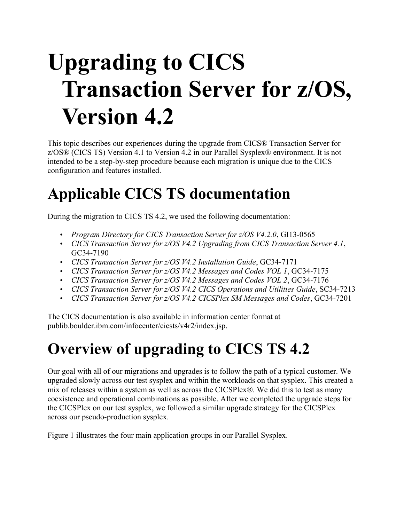# **Upgrading to CICS Transaction Server for z/OS, Version 4.2**

This topic describes our experiences during the upgrade from CICS® Transaction Server for z/OS® (CICS TS) Version 4.1 to Version 4.2 in our Parallel Sysplex® environment. It is not intended to be a step-by-step procedure because each migration is unique due to the CICS configuration and features installed.

# **Applicable CICS TS documentation**

During the migration to CICS TS 4.2, we used the following documentation:

- *Program Directory for CICS Transaction Server for z/OS V4.2.0*, GI13-0565
- *CICS Transaction Server for z/OS V4.2 Upgrading from CICS Transaction Server 4.1*, GC34-7190
- *CICS Transaction Server for z/OS V4.2 Installation Guide*, GC34-7171
- *CICS Transaction Server for z/OS V4.2 Messages and Codes VOL 1*, GC34-7175
- *CICS Transaction Server for z/OS V4.2 Messages and Codes VOL 2*, GC34-7176
- *CICS Transaction Server for z/OS V4.2 CICS Operations and Utilities Guide*, SC34-7213
- *CICS Transaction Server for z/OS V4.2 CICSPlex SM Messages and Codes*, GC34-7201

The CICS documentation is also available in information center format at publib.boulder.ibm.com/infocenter/cicsts/v4r2/index.jsp.

# **Overview of upgrading to CICS TS 4.2**

Our goal with all of our migrations and upgrades is to follow the path of a typical customer. We upgraded slowly across our test sysplex and within the workloads on that sysplex. This created a mix of releases within a system as well as across the CICSPlex®. We did this to test as many coexistence and operational combinations as possible. After we completed the upgrade steps for the CICSPlex on our test sysplex, we followed a similar upgrade strategy for the CICSPlex across our pseudo-production sysplex.

Figure 1 illustrates the four main application groups in our Parallel Sysplex.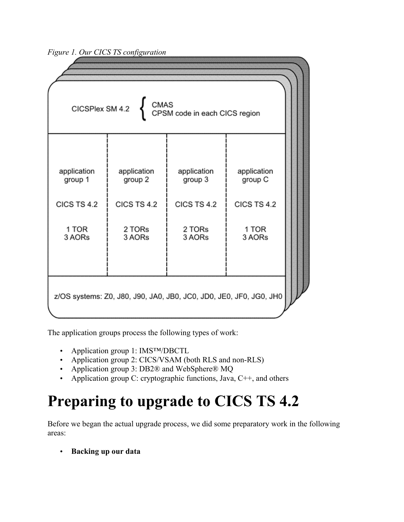*Figure 1. Our CICS TS configuration*

The application groups process the following types of work:

- Application group 1: IMS<sup>TM</sup>/DBCTL
- Application group 2: CICS/VSAM (both RLS and non-RLS)
- Application group 3: DB2® and WebSphere® MQ
- Application group C: cryptographic functions, Java,  $C++$ , and others

# **Preparing to upgrade to CICS TS 4.2**

Before we began the actual upgrade process, we did some preparatory work in the following areas:

• **Backing up our data**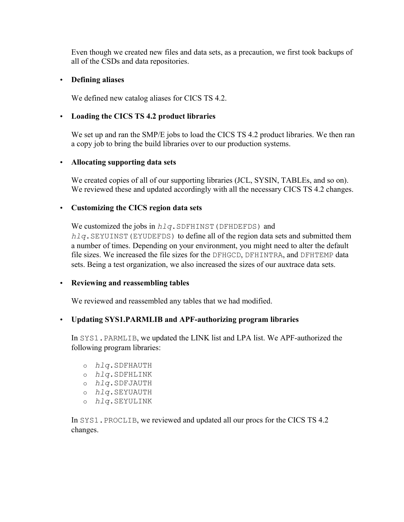Even though we created new files and data sets, as a precaution, we first took backups of all of the CSDs and data repositories.

#### • **Defining aliases**

We defined new catalog aliases for CICS TS 4.2.

#### • **Loading the CICS TS 4.2 product libraries**

We set up and ran the SMP/E jobs to load the CICS TS 4.2 product libraries. We then ran a copy job to bring the build libraries over to our production systems.

#### • **Allocating supporting data sets**

We created copies of all of our supporting libraries (JCL, SYSIN, TABLEs, and so on). We reviewed these and updated accordingly with all the necessary CICS TS 4.2 changes.

#### • **Customizing the CICS region data sets**

We customized the jobs in  $h l q$ . SDFHINST (DFHDEFDS) and *hlq*.SEYUINST(EYUDEFDS) to define all of the region data sets and submitted them a number of times. Depending on your environment, you might need to alter the default file sizes. We increased the file sizes for the DFHGCD, DFHINTRA, and DFHTEMP data sets. Being a test organization, we also increased the sizes of our auxtrace data sets.

#### • **Reviewing and reassembling tables**

We reviewed and reassembled any tables that we had modified.

#### • **Updating SYS1.PARMLIB and APF-authorizing program libraries**

In SYS1.PARMLIB, we updated the LINK list and LPA list. We APF-authorized the following program libraries:

- o *hlq*.SDFHAUTH
- o *hlq*.SDFHLINK
- o *hlq*.SDFJAUTH
- o *hlq*.SEYUAUTH
- o *hlq*.SEYULINK

In SYS1.PROCLIB, we reviewed and updated all our procs for the CICS TS 4.2 changes.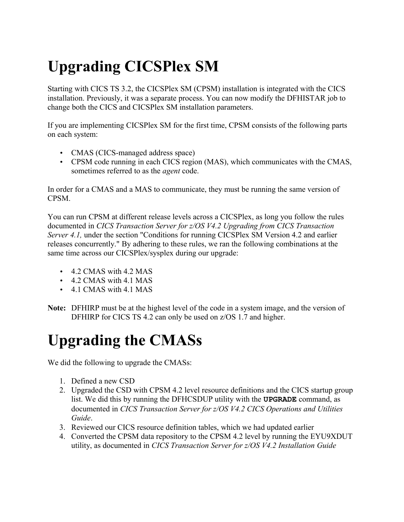# **Upgrading CICSPlex SM**

Starting with CICS TS 3.2, the CICSPlex SM (CPSM) installation is integrated with the CICS installation. Previously, it was a separate process. You can now modify the DFHISTAR job to change both the CICS and CICSPlex SM installation parameters.

If you are implementing CICSPlex SM for the first time, CPSM consists of the following parts on each system:

- CMAS (CICS-managed address space)
- CPSM code running in each CICS region (MAS), which communicates with the CMAS, sometimes referred to as the *agent* code.

In order for a CMAS and a MAS to communicate, they must be running the same version of CPSM.

You can run CPSM at different release levels across a CICSPlex, as long you follow the rules documented in *CICS Transaction Server for z/OS V4.2 Upgrading from CICS Transaction Server 4.1*, under the section "Conditions for running CICSPlex SM Version 4.2 and earlier releases concurrently." By adhering to these rules, we ran the following combinations at the same time across our CICSPlex/sysplex during our upgrade:

- 4.2 CMAS with 4.2 MAS
- 4.2 CMAS with 4.1 MAS
- 4.1 CMAS with 4.1 MAS
- **Note:** DFHIRP must be at the highest level of the code in a system image, and the version of DFHIRP for CICS TS 4.2 can only be used on  $z/OS$  1.7 and higher.

# **Upgrading the CMASs**

We did the following to upgrade the CMASs:

- 1. Defined a new CSD
- 2. Upgraded the CSD with CPSM 4.2 level resource definitions and the CICS startup group list. We did this by running the DFHCSDUP utility with the **UPGRADE** command, as documented in *CICS Transaction Server for z/OS V4.2 CICS Operations and Utilities Guide*.
- 3. Reviewed our CICS resource definition tables, which we had updated earlier
- 4. Converted the CPSM data repository to the CPSM 4.2 level by running the EYU9XDUT utility, as documented in *CICS Transaction Server for z/OS V4.2 Installation Guide*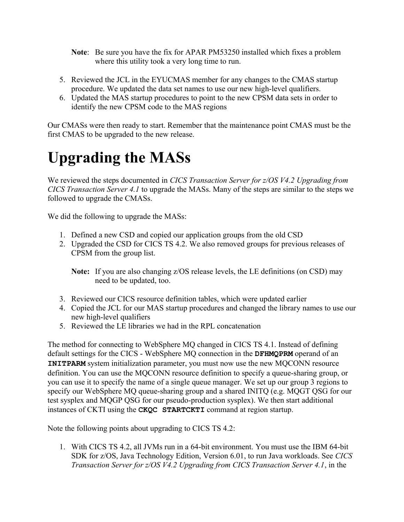- **Note**: Be sure you have the fix for APAR PM53250 installed which fixes a problem where this utility took a very long time to run.
- 5. Reviewed the JCL in the EYUCMAS member for any changes to the CMAS startup procedure. We updated the data set names to use our new high-level qualifiers.
- 6. Updated the MAS startup procedures to point to the new CPSM data sets in order to identify the new CPSM code to the MAS regions

Our CMASs were then ready to start. Remember that the maintenance point CMAS must be the first CMAS to be upgraded to the new release.

## **Upgrading the MASs**

We reviewed the steps documented in *CICS Transaction Server for z/OS V4.2 Upgrading from CICS Transaction Server 4.1* to upgrade the MASs. Many of the steps are similar to the steps we followed to upgrade the CMASs.

We did the following to upgrade the MASs:

- 1. Defined a new CSD and copied our application groups from the old CSD
- 2. Upgraded the CSD for CICS TS 4.2. We also removed groups for previous releases of CPSM from the group list.

- 3. Reviewed our CICS resource definition tables, which were updated earlier
- 4. Copied the JCL for our MAS startup procedures and changed the library names to use our new high-level qualifiers
- 5. Reviewed the LE libraries we had in the RPL concatenation

The method for connecting to WebSphere MQ changed in CICS TS 4.1. Instead of defining default settings for the CICS - WebSphere MQ connection in the **DFHMQPRM** operand of an **INITPARM** system initialization parameter, you must now use the new MOCONN resource definition. You can use the MQCONN resource definition to specify a queue-sharing group, or you can use it to specify the name of a single queue manager. We set up our group 3 regions to specify our WebSphere MQ queue-sharing group and a shared INITQ (e.g. MQGT QSG for our test sysplex and MQGP QSG for our pseudo-production sysplex). We then start additional instances of CKTI using the **CKQC STARTCKTI** command at region startup.

Note the following points about upgrading to CICS TS 4.2:

1. With CICS TS 4.2, all JVMs run in a 64-bit environment. You must use the IBM 64-bit SDK for z/OS, Java Technology Edition, Version 6.01, to run Java workloads. See *CICS Transaction Server for z/OS V4.2 Upgrading from CICS Transaction Server 4.1*, in the

**Note:** If you are also changing z/OS release levels, the LE definitions (on CSD) may need to be updated, too.